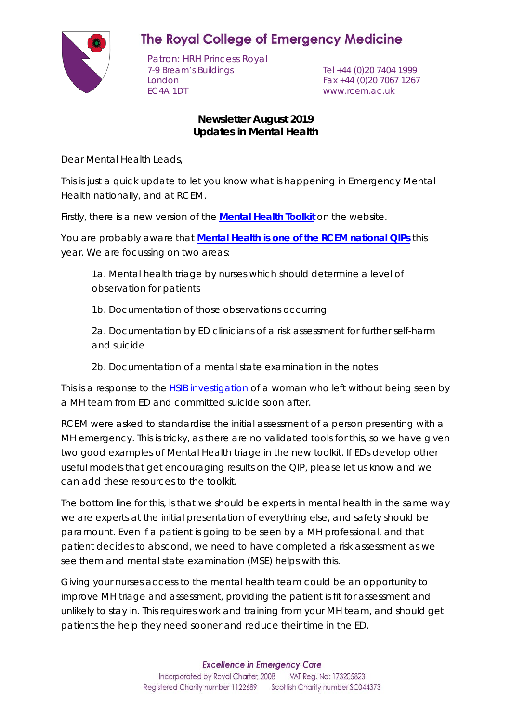

## **The Royal College of Emergency Medicine**

Patron: HRH Princess Royal 7-9 Bream's Buildings Tel +44 (0)20 7404 1999 London Fax +44 (0)20 7067 1267<br>EC4A 1DT www.rcem.ac.uk

www.rcem.ac.uk

## **Newsletter August 2019 Updates in Mental Health**

Dear Mental Health Leads,

This is just a quick update to let you know what is happening in Emergency Mental Health nationally, and at RCEM.

Firstly, there is a new version of the **[Mental Health Toolkit](http://www.rcem.ac.uk/docs/RCEM%20Guidance/Mental%20Health%20Toolkit%202019%20-%20Final%20.pdf)** on the website.

You are probably aware that **[Mental Health is one of the RCEM national QIPs](http://www.rcem.ac.uk/docs/QI%20+%20Clinical%20Audit/Mental%20health%20audit%20information%20pack%20(22%20Aug%202019).pdf)** this year. We are focussing on two areas:

1a. Mental health triage by nurses which should determine a level of observation for patients

1b. Documentation of those observations occurring

2a. Documentation by ED clinicians of a risk assessment for further self-harm and suicide

2b. Documentation of a mental state examination in the notes

This is a response to the [HSIB investigation](https://www.hsib.org.uk/investigations-cases/provision-mental-health-services-emergency-departments/final-report/) of a woman who left without being seen by a MH team from ED and committed suicide soon after.

RCEM were asked to standardise the initial assessment of a person presenting with a MH emergency. This is tricky, as there are no validated tools for this, so we have given two good examples of Mental Health triage in the new toolkit. If EDs develop other useful models that get encouraging results on the QIP, please let us know and we can add these resources to the toolkit.

The bottom line for this, is that we should be experts in mental health in the same way we are experts at the initial presentation of everything else, and safety should be paramount. Even if a patient is going to be seen by a MH professional, and that patient decides to abscond, we need to have completed a risk assessment as we see them and mental state examination (MSE) helps with this.

Giving your nurses access to the mental health team could be an opportunity to improve MH triage and assessment, providing the patient is fit for assessment and unlikely to stay in. This requires work and training from your MH team, and should get patients the help they need sooner and reduce their time in the ED.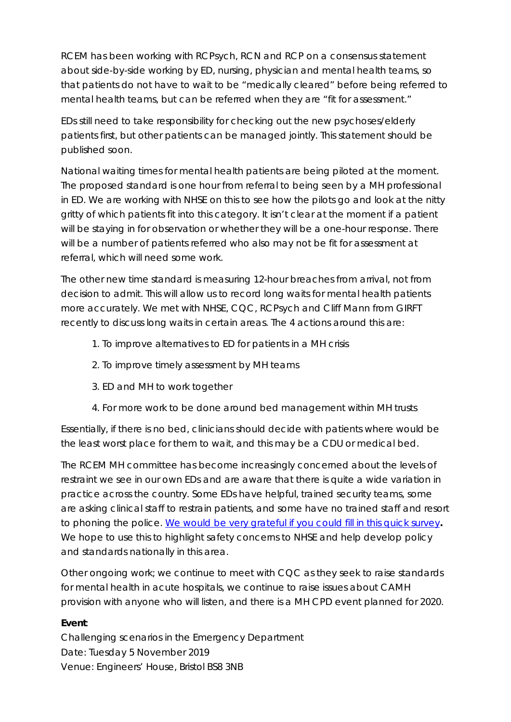RCEM has been working with RCPsych, RCN and RCP on a consensus statement about side-by-side working by ED, nursing, physician and mental health teams, so that patients do not have to wait to be "medically cleared" before being referred to mental health teams, but can be referred when they are "fit for assessment."

EDs still need to take responsibility for checking out the new psychoses/elderly patients first, but other patients can be managed jointly. This statement should be published soon.

National waiting times for mental health patients are being piloted at the moment. The proposed standard is one hour from referral to being seen by a MH professional in ED. We are working with NHSE on this to see how the pilots go and look at the nitty gritty of which patients fit into this category. It isn't clear at the moment if a patient will be staying in for observation or whether they will be a one-hour response. There will be a number of patients referred who also may not be fit for assessment at referral, which will need some work.

The other new time standard is measuring 12-hour breaches from arrival, not from decision to admit. This will allow us to record long waits for mental health patients more accurately. We met with NHSE, CQC, RCPsych and Cliff Mann from GIRFT recently to discuss long waits in certain areas. The 4 actions around this are:

- 1. To improve alternatives to ED for patients in a MH crisis
- 2. To improve timely assessment by MH teams
- 3. ED and MH to work together
- 4. For more work to be done around bed management within MH trusts

Essentially, if there is no bed, clinicians should decide with patients where would be the least worst place for them to wait, and this may be a CDU or medical bed.

The RCEM MH committee has become increasingly concerned about the levels of restraint we see in our own EDs and are aware that there is quite a wide variation in practice across the country. Some EDs have helpful, trained security teams, some are asking clinical staff to restrain patients, and some have no trained staff and resort to phoning the police. [We would be very grateful if you could fill in this quick survey](https://www.surveymonkey.co.uk/r/P2MMRTH)**.** We hope to use this to highlight safety concerns to NHSE and help develop policy and standards nationally in this area.

Other ongoing work; we continue to meet with CQC as they seek to raise standards for mental health in acute hospitals, we continue to raise issues about CAMH provision with anyone who will listen, and there is a MH CPD event planned for 2020.

## **Event**:

Challenging scenarios in the Emergency Department Date: Tuesday 5 November 2019 Venue: Engineers' House, Bristol BS8 3NB